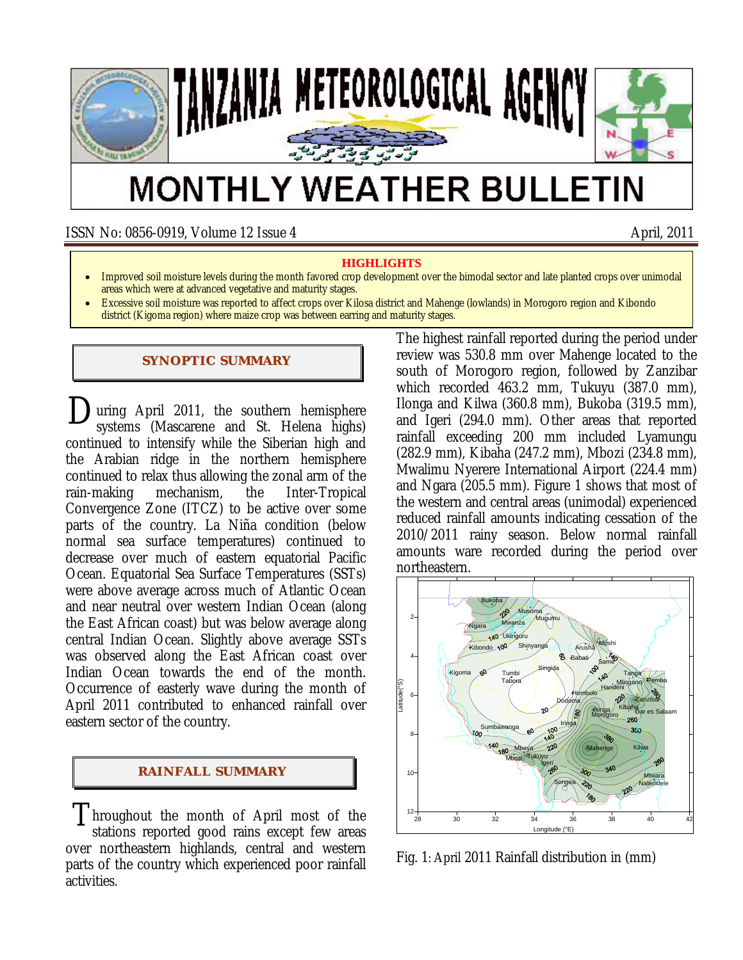

# **MONTHLY WEATHER BULLETIN**

ISSN No: 0856-0919, Volume 12 Issue 4 April, 2011

#### **HIGHLIGHTS**

- Improved soil moisture levels during the month favored crop development over the bimodal sector and late planted crops over unimodal areas which were at advanced vegetative and maturity stages.
- Excessive soil moisture was reported to affect crops over Kilosa district and Mahenge (lowlands) in Morogoro region and Kibondo district (Kigoma region) where maize crop was between earring and maturity stages.

## **SYNOPTIC SUMMARY**

**D**uring April 2011, the southern hemisphere systems (Mascarene and St. Helena highs) systems (Mascarene and St. Helena highs) continued to intensify while the Siberian high and the Arabian ridge in the northern hemisphere continued to relax thus allowing the zonal arm of the rain-making mechanism, the Inter-Tropical Convergence Zone (ITCZ) to be active over some parts of the country. La Niña condition (below normal sea surface temperatures) continued to decrease over much of eastern equatorial Pacific Ocean. Equatorial Sea Surface Temperatures (SSTs) were above average across much of Atlantic Ocean and near neutral over western Indian Ocean (along the East African coast) but was below average along central Indian Ocean. Slightly above average SSTs was observed along the East African coast over Indian Ocean towards the end of the month. Occurrence of easterly wave during the month of April 2011 contributed to enhanced rainfall over eastern sector of the country.

#### **RAI NFALL SUMMARY**

Throughout the month of April most of the stations reported good rains except fou areas stations reported good rains except few areas over northeastern highlands, central and western parts of the country which experienced poor rainfall activities.

The highest rainfall reported during the period under review was 530.8 mm over Mahenge located to the south of Morogoro region, followed by Zanzibar which recorded 463.2 mm, Tukuyu (387.0 mm), Ilonga and Kilwa (360.8 mm), Bukoba (319.5 mm), and Igeri (294.0 mm). Other areas that reported rainfall exceeding 200 mm included Lyamungu (282.9 mm), Kibaha (247.2 mm), Mbozi (234.8 mm), Mwalimu Nyerere International Airport (224.4 mm) and Ngara (205.5 mm). Figure 1 shows that most of the western and central areas (unimodal) experienced reduced rainfall amounts indicating cessation of the 2010/2011 rainy season. Below normal rainfall amounts ware recorded during the period over northeastern.



Fig. 1: April 2011 Rainfall distribution in (mm)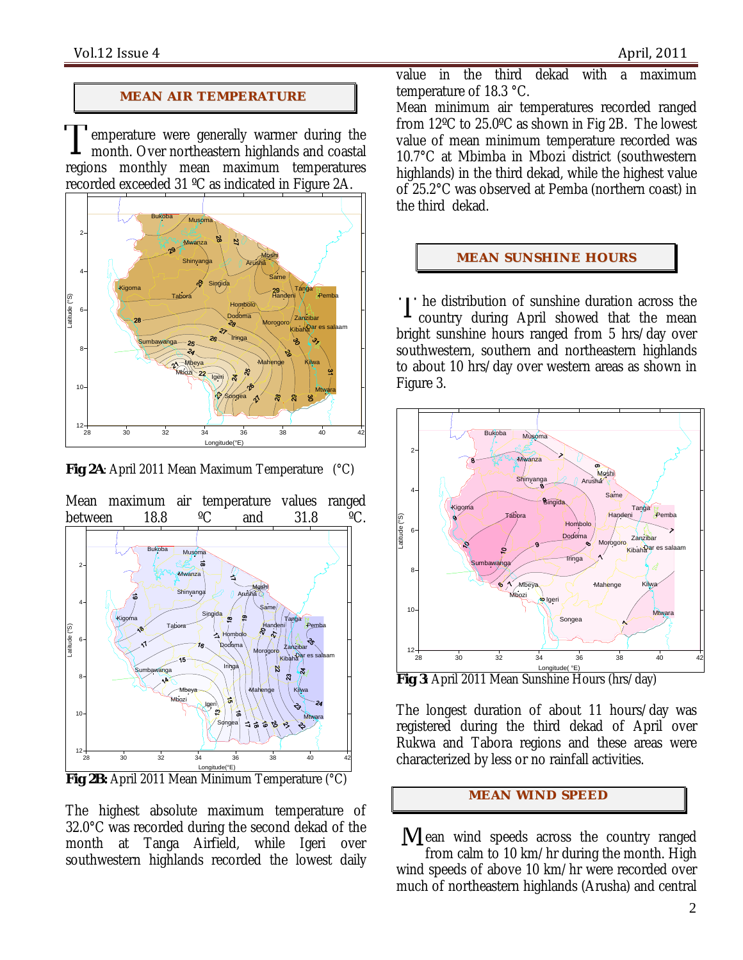## **MEAN AIR TEMPERATURE**

emperature were generally warmer during the month. Over northeastern highlands and coastal regions monthly mean maximum temperatures recorded exceeded 31 ºC as indicated in Figure 2A. T



**Fig 2A**: April 2011 Mean Maximum Temperature (°C)



The highest absolute maximum temperature of 32.0°C was recorded during the second dekad of the month at Tanga Airfield, while Igeri over southwestern highlands recorded the lowest daily

value in the third dekad with a maximum temperature of 18.3 °C.

Mean minimum air temperatures recorded ranged from 12ºC to 25.0ºC as shown in Fig 2B. The lowest value of mean minimum temperature recorded was 10.7°C at Mbimba in Mbozi district (southwestern highlands) in the third dekad, while the highest value of 25.2°C was observed at Pemba (northern coast) in the third dekad.

## **MEAN SUNSHINE HOURS**

I he distribution of sunshine duration across the<br>country during April showed that the mean country during April showed that the mean bright sunshine hours ranged from 5 hrs/day over southwestern, southern and northeastern highlands to about 10 hrs/day over western areas as shown in Figure 3.



Longitude( °E) **Fig 3**: April 2011 Mean Sunshine Hours (hrs/day)

The longest duration of about 11 hours/day was registered during the third dekad of April over Rukwa and Tabora regions and these areas were characterized by less or no rainfall activities.

## **MEAN WI ND SPEED**

 $M$ ean wind speeds across the country ranged from calm to 10 km/hr during the month. High wind speeds of above 10 km/hr were recorded over much of northeastern highlands (Arusha) and central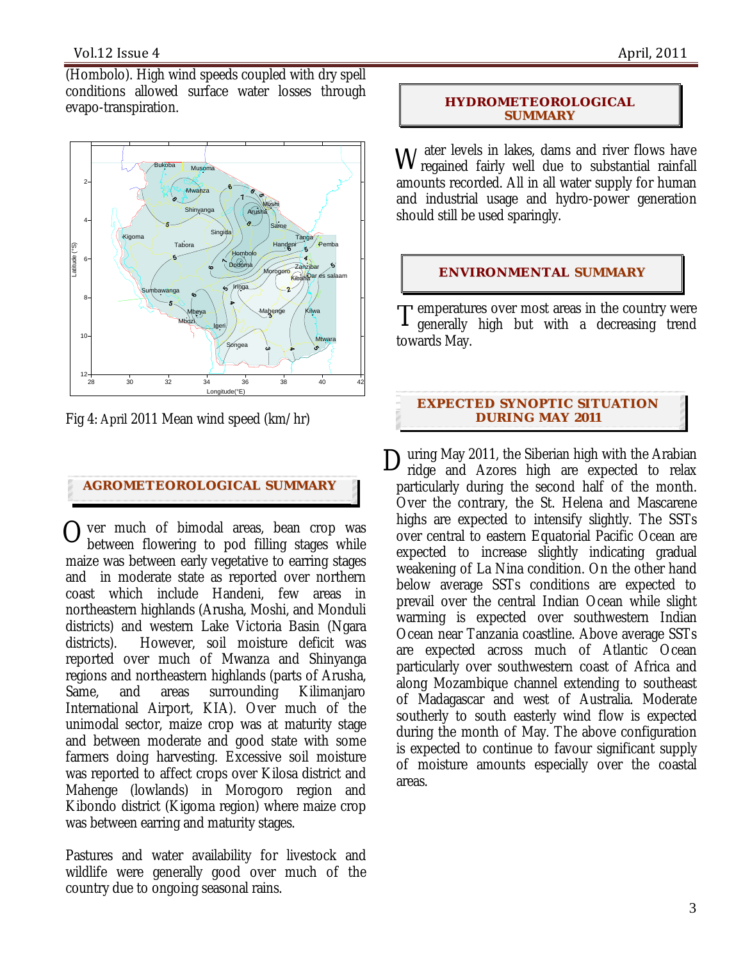(Hombolo). High wind speeds coupled with dry spell conditions allowed surface water losses through evapo-transpiration.



Fig 4: April 2011 Mean wind speed (km/hr)

## **AGROMETEOROLOGICAL SUMMARY**

 $\sum_{\text{between}\ \text{flowering to pod filling stages while}}$ between flowering to pod filling stages while maize was between early vegetative to earring stages and in moderate state as reported over northern coast which include Handeni, few areas in northeastern highlands (Arusha, Moshi, and Monduli districts) and western Lake Victoria Basin (Ngara districts). However, soil moisture deficit was reported over much of Mwanza and Shinyanga regions and northeastern highlands (parts of Arusha, Same, and areas surrounding Kilimanjaro International Airport, KIA). Over much of the unimodal sector, maize crop was at maturity stage and between moderate and good state with some farmers doing harvesting. Excessive soil moisture was reported to affect crops over Kilosa district and Mahenge (lowlands) in Morogoro region and Kibondo district (Kigoma region) where maize crop was between earring and maturity stages.

Pastures and water availability for livestock and wildlife were generally good over much of the country due to ongoing seasonal rains.

## **HYDROMETEOROLOGICAL SUMMARY**

W ater levels in lakes, dams and river flows have vegained fairly well due to substantial rainfall regained fairly well due to substantial rainfall amounts recorded. All in all water supply for human and industrial usage and hydro-power generation should still be used sparingly.

## **ENVIRONMENTAL SUMMARY**

**T** emperatures over most areas in the country were  $T$  emperatures over most areas in the country were<br>T generally high but with a decreasing trend towards May.

## **EXPECTED SYNOPTIC SITUATION DURI NG MAY 2011**

uring May 2011, the Siberian high with the Arabian ridge and Azores high are expected to relax particularly during the second half of the month. Over the contrary, the St. Helena and Mascarene highs are expected to intensify slightly. The SSTs over central to eastern Equatorial Pacific Ocean are expected to increase slightly indicating gradual weakening of La Nina condition. On the other hand below average SSTs conditions are expected to prevail over the central Indian Ocean while slight warming is expected over southwestern Indian Ocean near Tanzania coastline. Above average SSTs are expected across much of Atlantic Ocean particularly over southwestern coast of Africa and along Mozambique channel extending to southeast of Madagascar and west of Australia. Moderate southerly to south easterly wind flow is expected during the month of May. The above configuration is expected to continue to favour significant supply of moisture amounts especially over the coastal areas. D